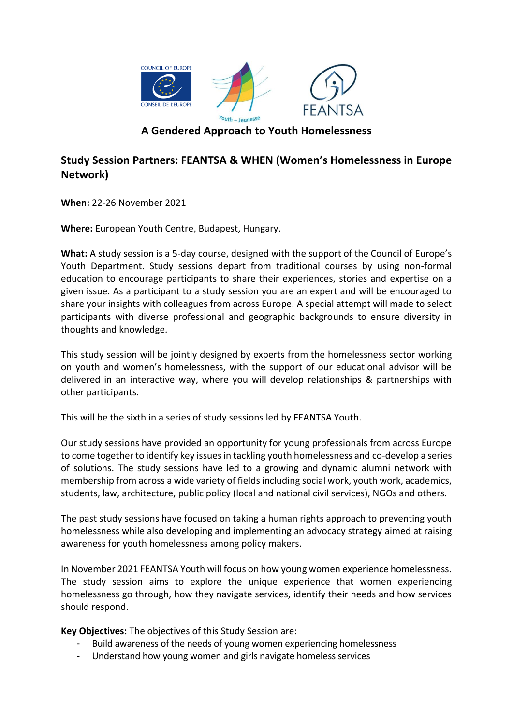

## **Study Session Partners: FEANTSA & WHEN (Women's Homelessness in Europe Network)**

**When:** 22-26 November 2021

**Where:** European Youth Centre, Budapest, Hungary.

**What:** A study session is a 5-day course, designed with the support of the Council of Europe's Youth Department. Study sessions depart from traditional courses by using non-formal education to encourage participants to share their experiences, stories and expertise on a given issue. As a participant to a study session you are an expert and will be encouraged to share your insights with colleagues from across Europe. A special attempt will made to select participants with diverse professional and geographic backgrounds to ensure diversity in thoughts and knowledge.

This study session will be jointly designed by experts from the homelessness sector working on youth and women's homelessness, with the support of our educational advisor will be delivered in an interactive way, where you will develop relationships & partnerships with other participants.

This will be the sixth in a series of study sessions led by FEANTSA Youth.

Our study sessions have provided an opportunity for young professionals from across Europe to come together to identify key issues in tackling youth homelessness and co-develop a series of solutions. The study sessions have led to a growing and dynamic alumni network with membership from across a wide variety of fields including social work, youth work, academics, students, law, architecture, public policy (local and national civil services), NGOs and others.

The past study sessions have focused on taking a human rights approach to preventing youth homelessness while also developing and implementing an advocacy strategy aimed at raising awareness for youth homelessness among policy makers.

In November 2021 FEANTSA Youth will focus on how young women experience homelessness. The study session aims to explore the unique experience that women experiencing homelessness go through, how they navigate services, identify their needs and how services should respond.

**Key Objectives:** The objectives of this Study Session are:

- Build awareness of the needs of young women experiencing homelessness
- Understand how young women and girls navigate homeless services